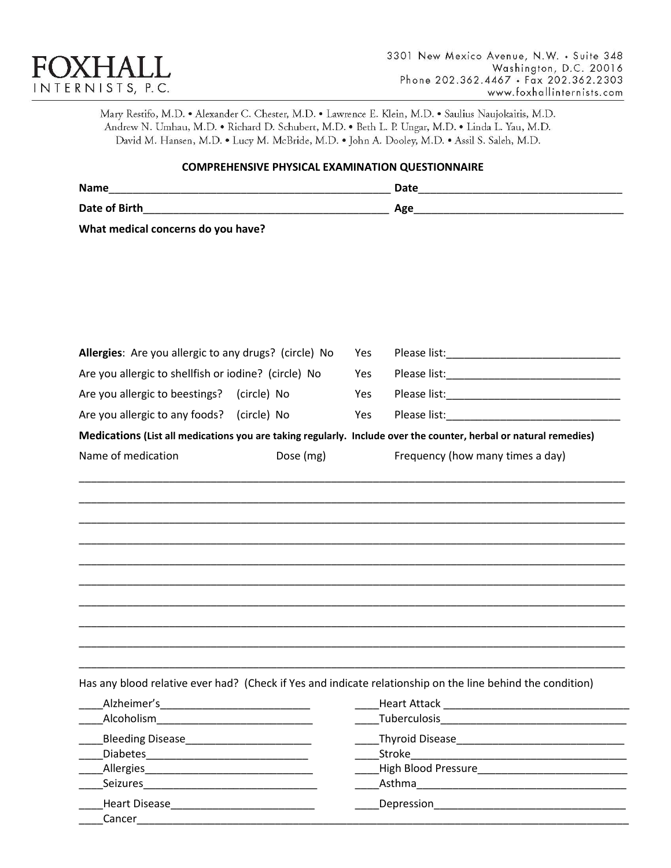

Mary Restifo, M.D. . Alexander C. Chester, M.D. . Lawrence E. Klein, M.D. . Saulius Naujokaitis, M.D. Andrew N. Umhau, M.D. . Richard D. Schubert, M.D. . Beth L. P. Ungar, M.D. . Linda L. Yau, M.D. David M. Hansen, M.D. . Lucy M. McBride, M.D. . John A. Dooley, M.D. . Assil S. Saleh, M.D.

## **COMPREHENSIVE PHYSICAL EXAMINATION QUESTIONNAIRE**

| <b>Name</b>                        | Date |
|------------------------------------|------|
| Date of Birth                      | Age  |
| What medical concerns do you have? |      |

| Allergies: Are you allergic to any drugs? (circle) No |           | Yes |                                                                                                                   |
|-------------------------------------------------------|-----------|-----|-------------------------------------------------------------------------------------------------------------------|
| Are you allergic to shellfish or iodine? (circle) No  |           | Yes |                                                                                                                   |
| Are you allergic to beestings? (circle) No            |           | Yes |                                                                                                                   |
| Are you allergic to any foods? (circle) No            |           | Yes |                                                                                                                   |
|                                                       |           |     | Medications (List all medications you are taking regularly. Include over the counter, herbal or natural remedies) |
| Name of medication                                    | Dose (mg) |     | Frequency (how many times a day)                                                                                  |
|                                                       |           |     |                                                                                                                   |
|                                                       |           |     |                                                                                                                   |
|                                                       |           |     |                                                                                                                   |
|                                                       |           |     |                                                                                                                   |
|                                                       |           |     |                                                                                                                   |
|                                                       |           |     |                                                                                                                   |
|                                                       |           |     |                                                                                                                   |
|                                                       |           |     |                                                                                                                   |
|                                                       |           |     |                                                                                                                   |
|                                                       |           |     |                                                                                                                   |
|                                                       |           |     |                                                                                                                   |

Has any blood relative ever had? (Check if Yes and indicate relationship on the line behind the condition)

| Alzheimer's             | <b>Heart Attack</b>        |  |
|-------------------------|----------------------------|--|
| Alcoholism              | Tuberculosis               |  |
| <b>Bleeding Disease</b> | <b>Thyroid Disease</b>     |  |
| <b>Diabetes</b>         | Stroke                     |  |
| Allergies               | <b>High Blood Pressure</b> |  |
| Seizures                | Asthma                     |  |
| <b>Heart Disease</b>    | Depression                 |  |
| Cancer                  |                            |  |
|                         |                            |  |